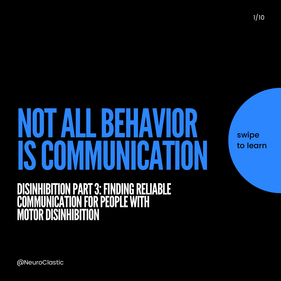swipe

1/10

#### to learn

## ISCOMMUNICATION DISINHIBITION PART 3: FINDING RELIABLE COMMUNICATION FOR PEOPLE WITH **COMMUNICATION FOR<br>MOTOR DISINHIBITION**

NOTALLBEHAVIOR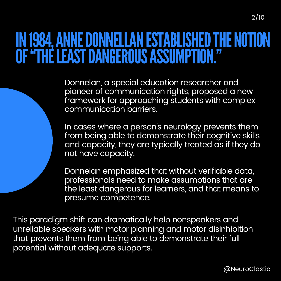### IN 1984, ANNE DONNELLAN ESTABLISHED THE NOTION OF "THE LEAST DANGEROUS ASSUMPTION."

Donnelan, a special education researcher and pioneer of communication rights, proposed a new framework for approaching students with complex communication barriers.

In cases where a person's neurology prevents them from being able to demonstrate their cognitive skills and capacity, they are typically treated as if they do not have capacity.

Donnelan emphasized that without verifiable data, professionals need to make assumptions that are the least dangerous for learners, and that means to presume competence.

This paradigm shift can dramatically help nonspeakers and unreliable speakers with motor planning and motor disinhibition that prevents them from being able to demonstrate their full potential without adequate supports.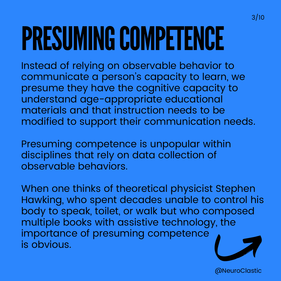# PRESUMING COMPETENCE

Instead of relying on observable behavior to communicate a person 's capacity to learn, we presume they have the cognitive capacity to understand age-appropriate educational materials and that instruction needs to be modified to support their communication needs.

Presuming competence is unpopular within disciplines that rely on data collection of observable behaviors.

When one thinks of theoretical physicist Stephen Hawking, who spent decades unable to control his body to speak, toilet, or walk but who composed multiple books with assistive technology, the importance of presuming competence is obvious.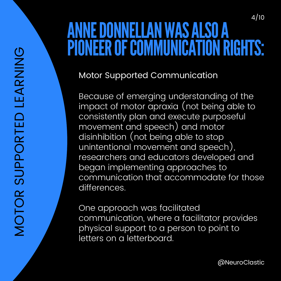#### 4/10 ANNEDONNELLANWASALSOA PIONEER OF COMMUNICATION RIGHTS:

Motor Supported Communication

Because of emerging understanding of the impact of motor apraxia (not being able to consistently plan and execute purposeful movement and speech) and motor disinhibition (not being able to stop unintentional movement and speech), researchers and educators developed and began implementing approaches to communication that accommodate for those differences.

One approach was facilitated communication, where a facilitator provides physical support to a person to point to letters on a letterboard.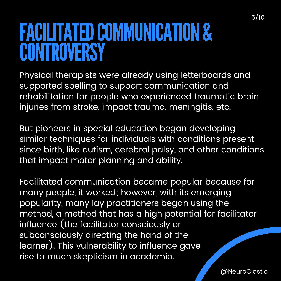FACILITATED COMMUNICATION & **CONTROVERSY** 

Physical therapists were already using letterboards and supported spelling to support communication and rehabilitation for people who experienced traumatic brain injuries from stroke, impact trauma, meningitis, etc.

But pioneers in special education began developing similar techniques for individuals with conditions present since birth, like autism, cerebral palsy, and other conditions that impact motor planning and ability.

Facilitated communication became popular because for many people, it worked; however, with its emerging popularity, many lay practitioners began using the method, a method that has a high potential for facilitator influence (the facilitator consciously or subconsciously directing the hand of the learner). This vulnerability to influence gave rise to much skepticism in academia.

5/10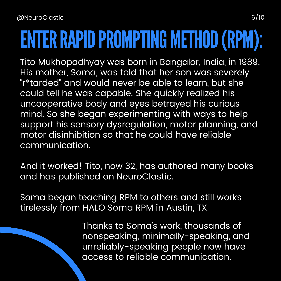## ENTER RAPID PROMPTING METHOD (RPM):

Tito Mukhopadhyay was born in Bangalor, India, in 1989. His mother, Soma, was told that her son was severely " r\*tarded" and would never be able to learn, but she could tell he was capable. She quickly realized his uncooperative body and eyes betrayed his curious mind. So she began experimenting with ways to help support his sensory dysregulation, motor planning, and motor disinhibition so that he could have reliable communication.

And it worked! Tito, now 32, has authored many books and has published on NeuroClastic.

Soma began teaching RPM to others and still works tirelessly from HALO Soma RPM in Austin, TX.

> Thanks to Soma ' s work, thousands of nonspeaking, minimally-speaking, and unreliably-speaking people now have access to reliable communication.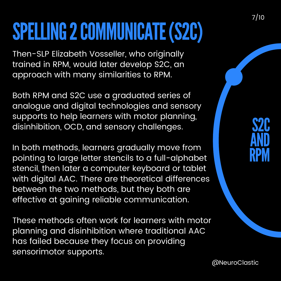## SPELLING 2 COMMUNICATE (S2C)

Then-SLP Elizabeth Vosseller, who originally trained in RPM, would later develop S2C, an approach with many similarities to RPM.

Both RPM and S2C use a graduated series of analogue and digital technologies and sensory supports to help learners with motor planning, disinhibition, OCD, and sensory challenges.

In both methods, learners gradually move from pointing to large letter stencils to a full-alphabet stencil, then later a computer keyboard or tablet with digital AAC. There are theoretical differences between the two methods, but they both are effective at gaining reliable communication.

These methods often work for learners with motor planning and disinhibition where traditional AAC has failed because they focus on providing sensorimotor supports.

#### S2C AND RPM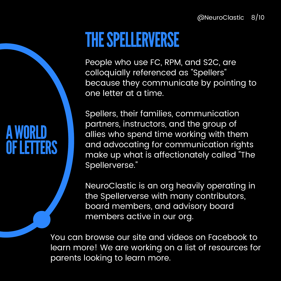### THE SPELLERVERSE

People who use FC, RPM, and S2C, are colloquially referenced as "Spellers " because they communicate by pointing to one letter at a time.

Spellers, their families, communication partners, instructors, and the group of allies who spend time working with them and advocating for communication rights make up what is affectionately called "The Spellerverse."

NeuroClastic is an org heavily operating in the Spellerverse with many contributors, board members, and advisory board members active in our org.

You can browse our site and videos on Facebook to learn more! We are working on a list of resources for parents looking to learn more.

### AWORLD **OF LETTERS**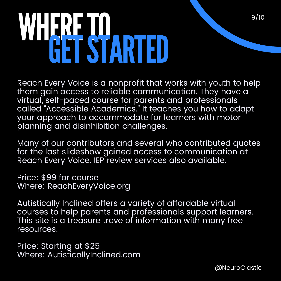# WHERE JO GETSTARTED

Reach Every Voice is a nonprofit that works with youth to help them gain access to reliable communication. They have a virtual, self-paced course for parents and professionals called "Accessible Academics." It teaches you how to adapt your approach to accommodate for learners with motor planning and disinhibition challenges.

Many of our contributors and several who contributed quotes for the last slideshow gained access to communication at Reach Every Voice. IEP review services also available.

Price: \$99 for course Where: ReachEveryVoice.org

Autistically Inclined offers a variety of affordable virtual courses to help parents and professionals support learners. This site is a treasure trove of information with many free resources.

Price: Starting at \$25 Where: AutisticallyInclined.com 9/10